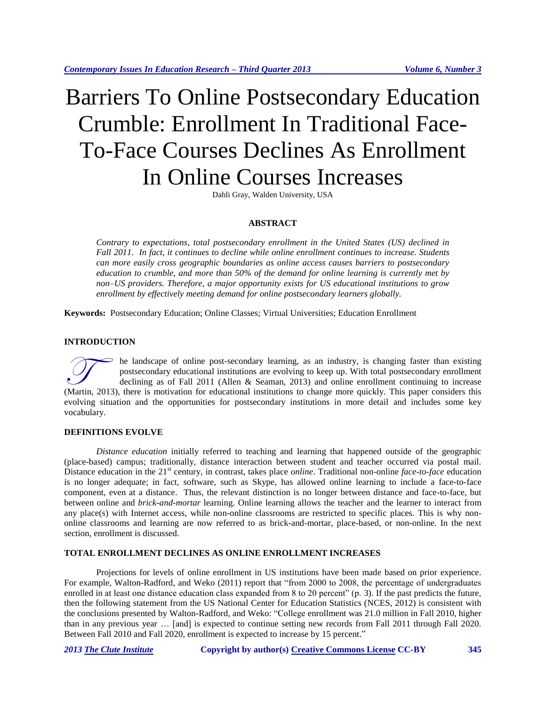# Barriers To Online Postsecondary Education Crumble: Enrollment In Traditional Face-To-Face Courses Declines As Enrollment In Online Courses Increases

Dahli Gray, Walden University, USA

## **ABSTRACT**

*Contrary to expectations, total postsecondary enrollment in the United States (US) declined in Fall 2011. In fact, it continues to decline while online enrollment continues to increase. Students can more easily cross geographic boundaries as online access causes barriers to postsecondary education to crumble, and more than 50% of the demand for online learning is currently met by non–US providers. Therefore, a major opportunity exists for US educational institutions to grow enrollment by effectively meeting demand for online postsecondary learners globally.*

**Keywords:** Postsecondary Education; Online Classes; Virtual Universities; Education Enrollment

## **INTRODUCTION**

he landscape of online post-secondary learning, as an industry, is changing faster than existing postsecondary educational institutions are evolving to keep up. With total postsecondary enrollment declining as of Fall 2011 (Allen & Seaman, 2013) and online enrollment continuing to increase The landscape of online post-secondary learning, as an industry, is changing faster than existing postsecondary educational institutions are evolving to keep up. With total postsecondary enrollment declining as of Fall 201 evolving situation and the opportunities for postsecondary institutions in more detail and includes some key vocabulary.

# **DEFINITIONS EVOLVE**

*Distance education* initially referred to teaching and learning that happened outside of the geographic (place-based) campus; traditionally, distance interaction between student and teacher occurred via postal mail. Distance education in the 21<sup>st</sup> century, in contrast, takes place *online*. Traditional non-online *face-to-face* education is no longer adequate; in fact, software, such as Skype, has allowed online learning to include a face-to-face component, even at a distance. Thus, the relevant distinction is no longer between distance and face-to-face, but between online and *brick-and-mortar* learning. Online learning allows the teacher and the learner to interact from any place(s) with Internet access, while non-online classrooms are restricted to specific places. This is why nononline classrooms and learning are now referred to as brick-and-mortar, place-based, or non-online. In the next section, enrollment is discussed.

## **TOTAL ENROLLMENT DECLINES AS ONLINE ENROLLMENT INCREASES**

Projections for levels of online enrollment in US institutions have been made based on prior experience. For example, Walton-Radford, and Weko (2011) report that "from 2000 to 2008, the percentage of undergraduates enrolled in at least one distance education class expanded from 8 to 20 percent" (p. 3). If the past predicts the future, then the following statement from the US National Center for Education Statistics (NCES, 2012) is consistent with the conclusions presented by Walton-Radford, and Weko: "College enrollment was 21.0 million in Fall 2010, higher than in any previous year … [and] is expected to continue setting new records from Fall 2011 through Fall 2020. Between Fall 2010 and Fall 2020, enrollment is expected to increase by 15 percent."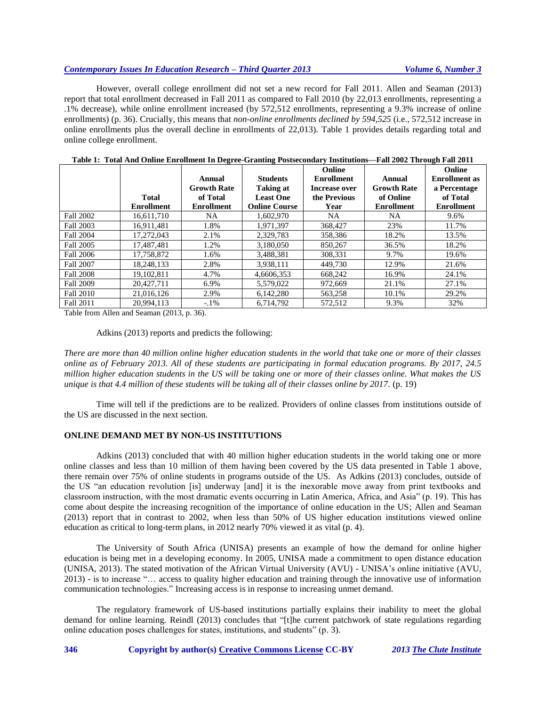# *Contemporary Issues In Education Research – Third Quarter 2013 Volume 6, Number 3*

However, overall college enrollment did not set a new record for Fall 2011. Allen and Seaman (2013) report that total enrollment decreased in Fall 2011 as compared to Fall 2010 (by 22,013 enrollments, representing a .1% decrease), while online enrollment increased (by 572,512 enrollments, representing a 9.3% increase of online enrollments) (p. 36). Crucially, this means that *non-online enrollments declined by 594,525* (i.e., 572,512 increase in online enrollments plus the overall decline in enrollments of 22,013). Table 1 provides details regarding total and online college enrollment.

|                  |                   |                    |                      | Online               |                    | Online               |
|------------------|-------------------|--------------------|----------------------|----------------------|--------------------|----------------------|
|                  |                   | Annual             | <b>Students</b>      | <b>Enrollment</b>    | Annual             | <b>Enrollment</b> as |
|                  |                   | <b>Growth Rate</b> | <b>Taking at</b>     | <b>Increase over</b> | <b>Growth Rate</b> | a Percentage         |
|                  | <b>Total</b>      | of Total           | <b>Least One</b>     | the Previous         | of Online          | of Total             |
|                  | <b>Enrollment</b> | <b>Enrollment</b>  | <b>Online Course</b> | Year                 | <b>Enrollment</b>  | <b>Enrollment</b>    |
| <b>Fall 2002</b> | 16,611,710        | NA                 | 1,602,970            | NA                   | NA.                | 9.6%                 |
| Fall 2003        | 16,911,481        | 1.8%               | 1,971,397            | 368,427              | 23%                | 11.7%                |
| <b>Fall 2004</b> | 17,272,043        | 2.1%               | 2,329,783            | 358,386              | 18.2%              | 13.5%                |
| Fall 2005        | 17.487.481        | 1.2%               | 3,180,050            | 850.267              | 36.5%              | 18.2%                |
| <b>Fall 2006</b> | 17.758.872        | 1.6%               | 3,488,381            | 308.331              | 9.7%               | 19.6%                |
| <b>Fall 2007</b> | 18,248,133        | 2.8%               | 3,938,111            | 449,730              | 12.9%              | 21.6%                |
| <b>Fall 2008</b> | 19,102,811        | 4.7%               | 4,6606,353           | 668,242              | 16.9%              | 24.1%                |
| Fall 2009        | 20.427.711        | 6.9%               | 5,579,022            | 972.669              | 21.1%              | 27.1%                |
| <b>Fall 2010</b> | 21,016,126        | 2.9%               | 6,142,280            | 563,258              | 10.1%              | 29.2%                |
| <b>Fall 2011</b> | 20.994.113        | $-1\%$             | 6.714.792            | 572.512              | 9.3%               | 32%                  |

**Table 1: Total And Online Enrollment In Degree-Granting Postsecondary Institutions—Fall 2002 Through Fall 2011**

Table from Allen and Seaman (2013, p. 36).

Adkins (2013) reports and predicts the following:

*There are more than 40 million online higher education students in the world that take one or more of their classes online as of February 2013. All of these students are participating in formal education programs. By 2017, 24.5 million higher education students in the US will be taking one or more of their classes online. What makes the US unique is that 4.4 million of these students will be taking all of their classes online by 2017.* (p. 19)

Time will tell if the predictions are to be realized. Providers of online classes from institutions outside of the US are discussed in the next section.

## **ONLINE DEMAND MET BY NON-US INSTITUTIONS**

Adkins (2013) concluded that with 40 million higher education students in the world taking one or more online classes and less than 10 million of them having been covered by the US data presented in Table 1 above, there remain over 75% of online students in programs outside of the US. As Adkins (2013) concludes, outside of the US "an education revolution [is] underway [and] it is the inexorable move away from print textbooks and classroom instruction, with the most dramatic events occurring in Latin America, Africa, and Asia" (p. 19). This has come about despite the increasing recognition of the importance of online education in the US; Allen and Seaman (2013) report that in contrast to 2002, when less than 50% of US higher education institutions viewed online education as critical to long-term plans, in 2012 nearly 70% viewed it as vital (p. 4).

The University of South Africa (UNISA) presents an example of how the demand for online higher education is being met in a developing economy. In 2005, UNISA made a commitment to open distance education (UNISA, 2013). The stated motivation of the African Virtual University (AVU) - UNISA's online initiative (AVU, 2013) - is to increase "… access to quality higher education and training through the innovative use of information communication technologies." Increasing access is in response to increasing unmet demand.

The regulatory framework of US-based institutions partially explains their inability to meet the global demand for online learning. Reindl (2013) concludes that "[t]he current patchwork of state regulations regarding online education poses challenges for states, institutions, and students" (p. 3).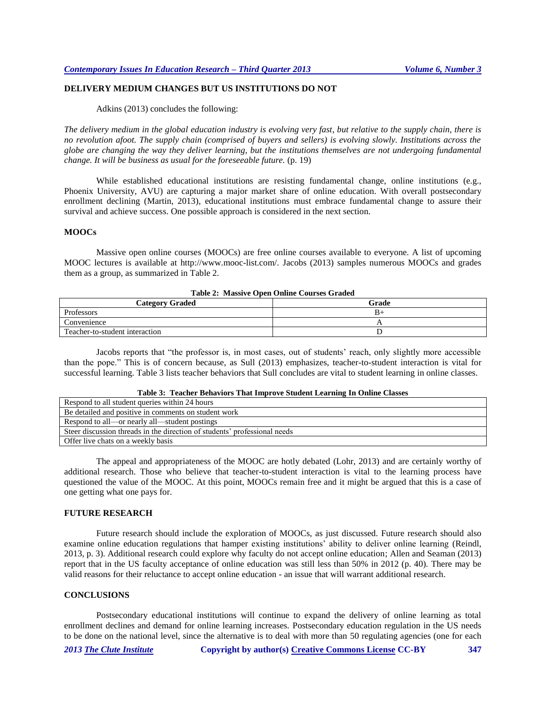# **DELIVERY MEDIUM CHANGES BUT US INSTITUTIONS DO NOT**

Adkins (2013) concludes the following:

*The delivery medium in the global education industry is evolving very fast, but relative to the supply chain, there is no revolution afoot. The supply chain (comprised of buyers and sellers) is evolving slowly. Institutions across the globe are changing the way they deliver learning, but the institutions themselves are not undergoing fundamental change. It will be business as usual for the foreseeable future.* (p. 19)

While established educational institutions are resisting fundamental change, online institutions (e.g., Phoenix University, AVU) are capturing a major market share of online education. With overall postsecondary enrollment declining (Martin, 2013), educational institutions must embrace fundamental change to assure their survival and achieve success. One possible approach is considered in the next section.

#### **MOOCs**

Massive open online courses (MOOCs) are free online courses available to everyone. A list of upcoming MOOC lectures is available at http://www.mooc-list.com/. Jacobs (2013) samples numerous MOOCs and grades them as a group, as summarized in Table 2.

| AMMAR AT ALAMMATR WHORA WAARAAR WURKING WARNER |       |  |  |  |
|------------------------------------------------|-------|--|--|--|
| <b>Category Graded</b>                         | Grade |  |  |  |
| Professors                                     | B+    |  |  |  |
| Convenience                                    |       |  |  |  |
| Teacher-to-student interaction                 |       |  |  |  |

## **Table 2: Massive Open Online Courses Graded**

Jacobs reports that "the professor is, in most cases, out of students' reach, only slightly more accessible than the pope." This is of concern because, as Sull (2013) emphasizes, teacher-to-student interaction is vital for successful learning. Table 3 lists teacher behaviors that Sull concludes are vital to student learning in online classes.

#### **Table 3: Teacher Behaviors That Improve Student Learning In Online Classes**

| Respond to all student queries within 24 hours                            |  |  |  |
|---------------------------------------------------------------------------|--|--|--|
| Be detailed and positive in comments on student work                      |  |  |  |
| Respond to all—or nearly all—student postings                             |  |  |  |
| Steer discussion threads in the direction of students' professional needs |  |  |  |
| Offer live chats on a weekly basis                                        |  |  |  |

The appeal and appropriateness of the MOOC are hotly debated (Lohr, 2013) and are certainly worthy of additional research. Those who believe that teacher-to-student interaction is vital to the learning process have questioned the value of the MOOC. At this point, MOOCs remain free and it might be argued that this is a case of one getting what one pays for.

## **FUTURE RESEARCH**

Future research should include the exploration of MOOCs, as just discussed. Future research should also examine online education regulations that hamper existing institutions' ability to deliver online learning (Reindl, 2013, p. 3). Additional research could explore why faculty do not accept online education; Allen and Seaman (2013) report that in the US faculty acceptance of online education was still less than 50% in 2012 (p. 40). There may be valid reasons for their reluctance to accept online education - an issue that will warrant additional research.

#### **CONCLUSIONS**

Postsecondary educational institutions will continue to expand the delivery of online learning as total enrollment declines and demand for online learning increases. Postsecondary education regulation in the US needs to be done on the national level, since the alternative is to deal with more than 50 regulating agencies (one for each